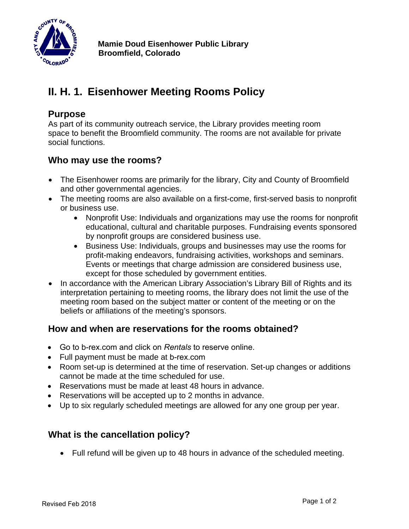

# **II. H. 1. Eisenhower Meeting Rooms Policy**

### **Purpose**

As part of its community outreach service, the Library provides meeting room space to benefit the Broomfield community. The rooms are not available for private social functions.

# **Who may use the rooms?**

- The Eisenhower rooms are primarily for the library, City and County of Broomfield and other governmental agencies.
- The meeting rooms are also available on a first-come, first-served basis to nonprofit or business use.
	- Nonprofit Use: Individuals and organizations may use the rooms for nonprofit educational, cultural and charitable purposes. Fundraising events sponsored by nonprofit groups are considered business use.
	- Business Use: Individuals, groups and businesses may use the rooms for profit-making endeavors, fundraising activities, workshops and seminars. Events or meetings that charge admission are considered business use, except for those scheduled by government entities.
- In accordance with the American Library Association's Library Bill of Rights and its [interpretation](http://www.ala.org/advocacy/intfreedom/librarybill/interpretations/meetingrooms) pertaining to meeting rooms, the library does not limit the use of the meeting room based on the subject matter or content of the meeting or on the beliefs or affiliations of the meeting's sponsors.

# **How and when are reservations for the rooms obtained?**

- Go to b-rex.com and click on *Rentals* to reserve online.
- Full payment must be made at b-rex.com
- Room set-up is determined at the time of reservation. Set-up changes or additions cannot be made at the time scheduled for use.
- Reservations must be made at least 48 hours in advance.
- Reservations will be accepted up to 2 months in advance.
- Up to six regularly scheduled meetings are allowed for any one group per year.

# **What is the cancellation policy?**

• Full refund will be given up to 48 hours in advance of the scheduled meeting.